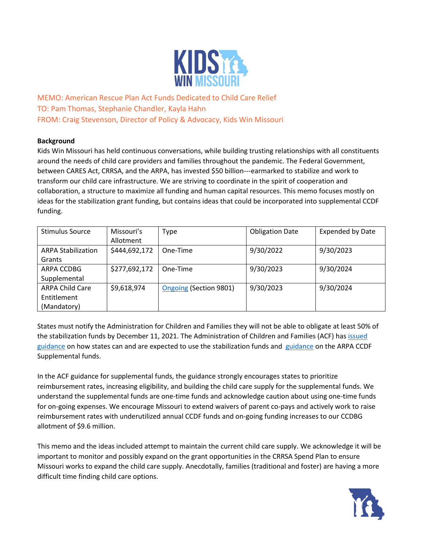

MEMO: American Rescue Plan Act Funds Dedicated to Child Care Relief TO: Pam Thomas, Stephanie Chandler, Kayla Hahn FROM: Craig Stevenson, Director of Policy & Advocacy, Kids Win Missouri

# **Background**

Kids Win Missouri has held continuous conversations, while building trusting relationships with all constituents around the needs of child care providers and families throughout the pandemic. The Federal Government, between CARES Act, CRRSA, and the ARPA, has invested \$50 billion---earmarked to stabilize and work to transform our child care infrastructure. We are striving to coordinate in the spirit of cooperation and collaboration, a structure to maximize all funding and human capital resources. This memo focuses mostly on ideas for the stabilization grant funding, but contains ideas that could be incorporated into supplemental CCDF funding.

| <b>Stimulus Source</b>    | Missouri's    | Type                   | <b>Obligation Date</b> | <b>Expended by Date</b> |
|---------------------------|---------------|------------------------|------------------------|-------------------------|
|                           | Allotment     |                        |                        |                         |
| <b>ARPA Stabilization</b> | \$444,692,172 | One-Time               | 9/30/2022              | 9/30/2023               |
| Grants                    |               |                        |                        |                         |
| ARPA CCDBG                | \$277,692,172 | One-Time               | 9/30/2023              | 9/30/2024               |
| Supplemental              |               |                        |                        |                         |
| <b>ARPA Child Care</b>    | \$9,618,974   | Ongoing (Section 9801) | 9/30/2023              | 9/30/2024               |
| Entitlement               |               |                        |                        |                         |
| (Mandatory)               |               |                        |                        |                         |

States must notify the Administration for Children and Families they will not be able to obligate at least 50% of the stabilization funds by December 11, 2021. The Administration of Children and Families (ACF) has [issued](https://www.acf.hhs.gov/sites/default/files/documents/occ/CCDF-ACF-IM-2021-02.pdf)  [guidance](https://www.acf.hhs.gov/sites/default/files/documents/occ/CCDF-ACF-IM-2021-02.pdf) on how states can and are expected to use the stabilization funds and [guidance](https://www.acf.hhs.gov/sites/default/files/documents/occ/CCDF-ACF-IM-2021-03.pdf) on the ARPA CCDF Supplemental funds.

In the ACF guidance for supplemental funds, the guidance strongly encourages states to prioritize reimbursement rates, increasing eligibility, and building the child care supply for the supplemental funds. We understand the supplemental funds are one-time funds and acknowledge caution about using one-time funds for on-going expenses. We encourage Missouri to extend waivers of parent co-pays and actively work to raise reimbursement rates with underutilized annual CCDF funds and on-going funding increases to our CCDBG allotment of \$9.6 million.

This memo and the ideas included attempt to maintain the current child care supply. We acknowledge it will be important to monitor and possibly expand on the grant opportunities in the CRRSA Spend Plan to ensure Missouri works to expand the child care supply. Anecdotally, families (traditional and foster) are having a more difficult time finding child care options.

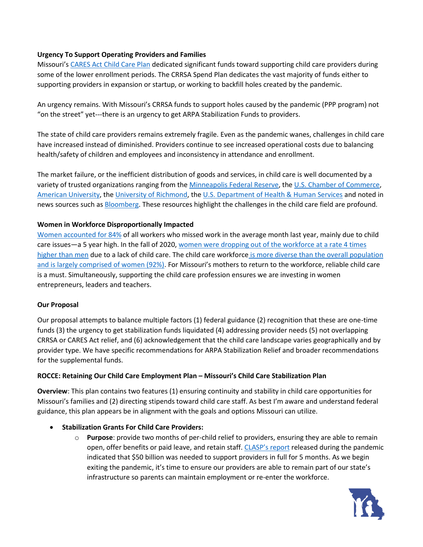#### **Urgency To Support Operating Providers and Families**

Missouri's [CARES Act Child Care Plan](https://dss.mo.gov/covid-19/pdf/CARES-act-child-care-plan.pdf) dedicated significant funds toward supporting child care providers during some of the lower enrollment periods. The CRRSA Spend Plan dedicates the vast majority of funds either to supporting providers in expansion or startup, or working to backfill holes created by the pandemic.

An urgency remains. With Missouri's CRRSA funds to support holes caused by the pandemic (PPP program) not "on the street" yet---there is an urgency to get ARPA Stabilization Funds to providers.

The state of child care providers remains extremely fragile. Even as the pandemic wanes, challenges in child care have increased instead of diminished. Providers continue to see increased operational costs due to balancing health/safety of children and employees and inconsistency in attendance and enrollment.

The market failure, or the inefficient distribution of goods and services, in child care is well documented by a variety of trusted organizations ranging from the [Minneapolis Federal Reserve,](https://www.minneapolisfed.org/article/2020/covid-19-challenges-the-child-care-market) the [U.S. Chamber of Commerce,](https://www.uschamberfoundation.org/blog/post/market-failure-our-childcare-system-broken) [American University,](https://www.american.edu/spa/publicpurpose/upload/failures-of-the-child-care-market-through-the-multiple-lenses-of-traditional-and-feminist-economic-critique.pdf) the [University of Richmond,](https://www.american.edu/spa/publicpurpose/upload/failures-of-the-child-care-market-through-the-multiple-lenses-of-traditional-and-feminist-economic-critique.pdf) the [U.S. Department of Health & Human Services](https://aspe.hhs.gov/report/economic-rationale-investing-children-focus-child-care/market-failures%C2%A0-liquidity-constraints-information-problems-and-externalities) and noted in news sources such a[s Bloomberg.](https://www.bloomberg.com/news/articles/2020-12-10/u-s-economy-could-get-a-boost-from-expanded-child-care) These resources highlight the challenges in the child care field are profound.

#### **Women in Workforce Disproportionally Impacted**

[Women accounted for 84%](https://www.usatoday.com/story/news/investigations/2021/01/29/coronavirus-childcare-burden-fell-womens-shoulders/4279673001/) of all workers who missed work in the average month last year, mainly due to child care issues—a 5 year high. In the fall of 2020[, women were dropping out of the workforce at a rate](https://www.cnbc.com/2020/10/02/865000-women-dropped-out-of-the-labor-force-in-september-2020.html) 4 times [higher than men](https://www.cnbc.com/2020/10/02/865000-women-dropped-out-of-the-labor-force-in-september-2020.html) due to a lack of child care. The child care workforce [is more diverse than the overall population](https://bipartisanpolicy.org/blog/characteristics-of-the-child-care-workforce/) and is largely comprised of women (92%). For Missouri's mothers to return to the workforce, reliable child care is a must. Simultaneously, supporting the child care profession ensures we are investing in women entrepreneurs, leaders and teachers.

#### **Our Proposal**

Our proposal attempts to balance multiple factors (1) federal guidance (2) recognition that these are one-time funds (3) the urgency to get stabilization funds liquidated (4) addressing provider needs (5) not overlapping CRRSA or CARES Act relief, and (6) acknowledgement that the child care landscape varies geographically and by provider type. We have specific recommendations for ARPA Stabilization Relief and broader recommendations for the supplemental funds.

# **ROCCE: Retaining Our Child Care Employment Plan – Missouri's Child Care Stabilization Plan**

**Overview**: This plan contains two features (1) ensuring continuity and stability in child care opportunities for Missouri's families and (2) directing stipends toward child care staff. As best I'm aware and understand federal guidance, this plan appears be in alignment with the goals and options Missouri can utilize.

# • **Stabilization Grants For Child Care Providers:**

o **Purpose**: provide two months of per-child relief to providers, ensuring they are able to remain open, offer benefits or paid leave, and retain staff. [CLASP's report](https://www.clasp.org/sites/default/files/publications/2020/05/2020_50billionpandemicchildcare_0.pdf) released during the pandemic indicated that \$50 billion was needed to support providers in full for 5 months. As we begin exiting the pandemic, it's time to ensure our providers are able to remain part of our state's infrastructure so parents can maintain employment or re-enter the workforce.

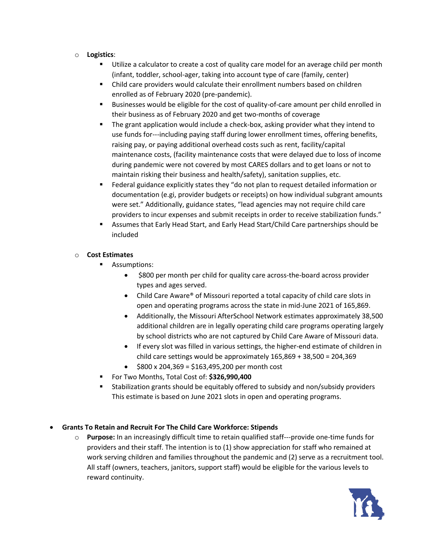- o **Logistics**:
	- Utilize a calculator to create a cost of quality care model for an average child per month (infant, toddler, school-ager, taking into account type of care (family, center)
	- Child care providers would calculate their enrollment numbers based on children enrolled as of February 2020 (pre-pandemic).
	- Businesses would be eligible for the cost of quality-of-care amount per child enrolled in their business as of February 2020 and get two-months of coverage
	- The grant application would include a check-box, asking provider what they intend to use funds for---including paying staff during lower enrollment times, offering benefits, raising pay, or paying additional overhead costs such as rent, facility/capital maintenance costs, (facility maintenance costs that were delayed due to loss of income during pandemic were not covered by most CARES dollars and to get loans or not to maintain risking their business and health/safety), sanitation supplies, etc.
	- Federal guidance explicitly states they "do not plan to request detailed information or documentation (e.gi, provider budgets or receipts) on how individual subgrant amounts were set." Additionally, guidance states, "lead agencies may not require child care providers to incur expenses and submit receipts in order to receive stabilization funds."
	- Assumes that Early Head Start, and Early Head Start/Child Care partnerships should be included

# o **Cost Estimates**

- Assumptions:
	- \$800 per month per child for quality care across-the-board across provider types and ages served.
	- Child Care Aware® of Missouri reported a total capacity of child care slots in open and operating programs across the state in mid-June 2021 of 165,869.
	- Additionally, the Missouri AfterSchool Network estimates approximately 38,500 additional children are in legally operating child care programs operating largely by school districts who are not captured by Child Care Aware of Missouri data.
	- If every slot was filled in various settings, the higher-end estimate of children in child care settings would be approximately 165,869 + 38,500 = 204,369
	- $\div$  \$800 x 204,369 = \$163,495,200 per month cost
- For Two Months, Total Cost of: **\$326,990,400**
- Stabilization grants should be equitably offered to subsidy and non/subsidy providers This estimate is based on June 2021 slots in open and operating programs.

# • **Grants To Retain and Recruit For The Child Care Workforce: Stipends**

o **Purpose:** In an increasingly difficult time to retain qualified staff---provide one-time funds for providers and their staff. The intention is to (1) show appreciation for staff who remained at work serving children and families throughout the pandemic and (2) serve as a recruitment tool. All staff (owners, teachers, janitors, support staff) would be eligible for the various levels to reward continuity.

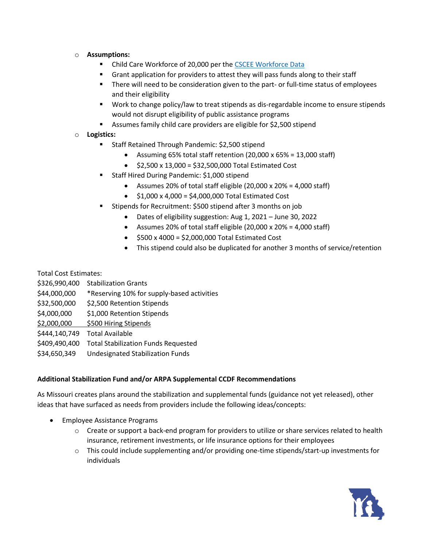- o **Assumptions:**
	- Child Care Workforce of 20,000 per th[e CSCEE Workforce Data](https://cscce.berkeley.edu/workforce-index-2020/states/missouri/)
	- Grant application for providers to attest they will pass funds along to their staff
	- **■** There will need to be consideration given to the part- or full-time status of employees and their eligibility
	- Work to change policy/law to treat stipends as dis-regardable income to ensure stipends would not disrupt eligibility of public assistance programs
	- Assumes family child care providers are eligible for \$2,500 stipend
- o **Logistics:**
	- Staff Retained Through Pandemic: \$2,500 stipend
		- Assuming 65% total staff retention (20,000 x 65% = 13,000 staff)
		- $\bullet$  \$2,500 x 13,000 = \$32,500,000 Total Estimated Cost
	- Staff Hired During Pandemic: \$1,000 stipend
		- Assumes 20% of total staff eligible (20,000 x 20% = 4,000 staff)
		- $$1,000 \times 4,000 = $4,000,000$  Total Estimated Cost
	- Stipends for Recruitment: \$500 stipend after 3 months on job
		- Dates of eligibility suggestion: Aug 1, 2021 June 30, 2022
		- Assumes 20% of total staff eligible (20,000 x 20% = 4,000 staff)
		- $\bullet$  \$500 x 4000 = \$2,000,000 Total Estimated Cost
		- This stipend could also be duplicated for another 3 months of service/retention

Total Cost Estimates:

| \$326,990,400 | <b>Stabilization Grants</b>                |
|---------------|--------------------------------------------|
| \$44,000,000  | *Reserving 10% for supply-based activities |
| \$32,500,000  | \$2,500 Retention Stipends                 |
| \$4,000,000   | \$1,000 Retention Stipends                 |
| \$2,000,000   | \$500 Hiring Stipends                      |
| \$444,140,749 | <b>Total Available</b>                     |
| \$409,490,400 | <b>Total Stabilization Funds Requested</b> |
| \$34,650,349  | <b>Undesignated Stabilization Funds</b>    |

#### **Additional Stabilization Fund and/or ARPA Supplemental CCDF Recommendations**

As Missouri creates plans around the stabilization and supplemental funds (guidance not yet released), other ideas that have surfaced as needs from providers include the following ideas/concepts:

- Employee Assistance Programs
	- o Create or support a back-end program for providers to utilize or share services related to health insurance, retirement investments, or life insurance options for their employees
	- o This could include supplementing and/or providing one-time stipends/start-up investments for individuals

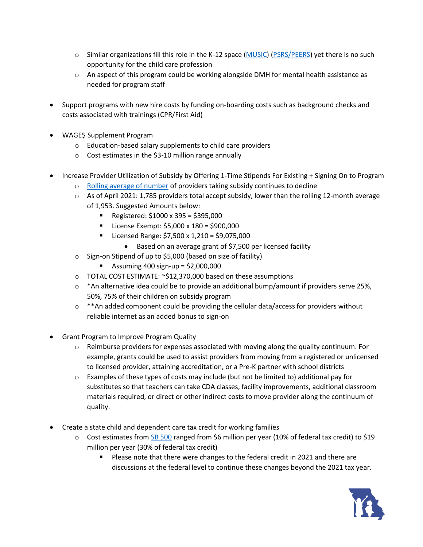- $\circ$  Similar organizations fill this role in the K-12 space [\(MUSIC\)](https://www.musicprogram.org/) [\(PSRS/PEERS\)](https://www.psrs-peers.org/) yet there is no such opportunity for the child care profession
- o An aspect of this program could be working alongside DMH for mental health assistance as needed for program staff
- Support programs with new hire costs by funding on-boarding costs such as background checks and costs associated with trainings (CPR/First Aid)
- WAGE\$ Supplement Program
	- o Education-based salary supplements to child care providers
	- o Cost estimates in the \$3-10 million range annually
- Increase Provider Utilization of Subsidy by Offering 1-Time Stipends For Existing + Signing On to Program
	- o [Rolling average of number](https://dss.mo.gov/re/pdf/oecmmr/cc-mmr_april_2021.pdf) of providers taking subsidy continues to decline
	- $\circ$  As of April 2021: 1,785 providers total accept subsidy, lower than the rolling 12-month average of 1,953. Suggested Amounts below:
		- Registered: \$1000 x 395 = \$395,000
		- License Exempt: \$5,000 x 180 = \$900,000
		- Licensed Range: \$7,500 x 1,210 = \$9,075,000
			- Based on an average grant of \$7,500 per licensed facility
	- o Sign-on Stipend of up to \$5,000 (based on size of facility)
		- **•** Assuming 400 sign-up =  $$2,000,000$
	- o TOTAL COST ESTIMATE: ~\$12,370,000 based on these assumptions
	- $\circ$  \*An alternative idea could be to provide an additional bump/amount if providers serve 25%, 50%, 75% of their children on subsidy program
	- $\circ$  \*\*An added component could be providing the cellular data/access for providers without reliable internet as an added bonus to sign-on
- Grant Program to Improve Program Quality
	- $\circ$  Reimburse providers for expenses associated with moving along the quality continuum. For example, grants could be used to assist providers from moving from a registered or unlicensed to licensed provider, attaining accreditation, or a Pre-K partner with school districts
	- $\circ$  Examples of these types of costs may include (but not be limited to) additional pay for substitutes so that teachers can take CDA classes, facility improvements, additional classroom materials required, or direct or other indirect costs to move provider along the continuum of quality.
- Create a state child and dependent care tax credit for working families
	- $\circ$  Cost estimates from [SB 500](https://www.senate.mo.gov/FiscalNotes/2021-1/2335S.02I.ORG.pdf) ranged from \$6 million per year (10% of federal tax credit) to \$19 million per year (30% of federal tax credit)
		- Please note that there were changes to the federal credit in 2021 and there are discussions at the federal level to continue these changes beyond the 2021 tax year.